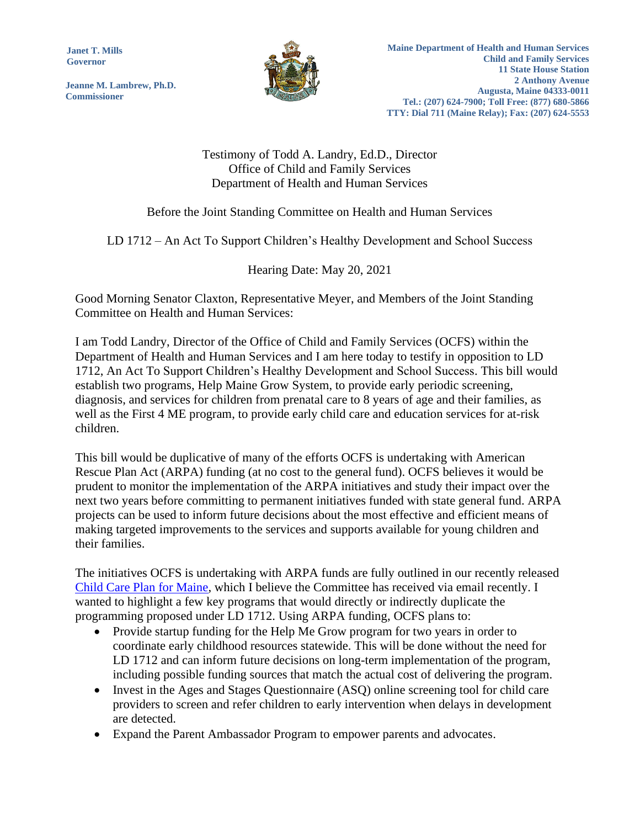**Janet T. Mills Governor**

**Jeanne M. Lambrew, Ph.D. Commissioner**



Testimony of Todd A. Landry, Ed.D., Director Office of Child and Family Services Department of Health and Human Services

## Before the Joint Standing Committee on Health and Human Services

LD 1712 – An Act To Support Children's Healthy Development and School Success

## Hearing Date: May 20, 2021

Good Morning Senator Claxton, Representative Meyer, and Members of the Joint Standing Committee on Health and Human Services:

I am Todd Landry, Director of the Office of Child and Family Services (OCFS) within the Department of Health and Human Services and I am here today to testify in opposition to LD 1712, An Act To Support Children's Healthy Development and School Success. This bill would establish two programs, Help Maine Grow System, to provide early periodic screening, diagnosis, and services for children from prenatal care to 8 years of age and their families, as well as the First 4 ME program, to provide early child care and education services for at-risk children.

This bill would be duplicative of many of the efforts OCFS is undertaking with American Rescue Plan Act (ARPA) funding (at no cost to the general fund). OCFS believes it would be prudent to monitor the implementation of the ARPA initiatives and study their impact over the next two years before committing to permanent initiatives funded with state general fund. ARPA projects can be used to inform future decisions about the most effective and efficient means of making targeted improvements to the services and supports available for young children and their families.

The initiatives OCFS is undertaking with ARPA funds are fully outlined in our recently released [Child Care Plan for Maine,](https://www.maine.gov/dhhs/sites/maine.gov.dhhs/files/inline-files/FINAL%20Child%20Care%20Plan%20for%20Maine.pdf) which I believe the Committee has received via email recently. I wanted to highlight a few key programs that would directly or indirectly duplicate the programming proposed under LD 1712. Using ARPA funding, OCFS plans to:

- Provide startup funding for the Help Me Grow program for two years in order to coordinate early childhood resources statewide. This will be done without the need for LD 1712 and can inform future decisions on long-term implementation of the program, including possible funding sources that match the actual cost of delivering the program.
- Invest in the Ages and Stages Questionnaire (ASQ) online screening tool for child care providers to screen and refer children to early intervention when delays in development are detected.
- Expand the Parent Ambassador Program to empower parents and advocates.